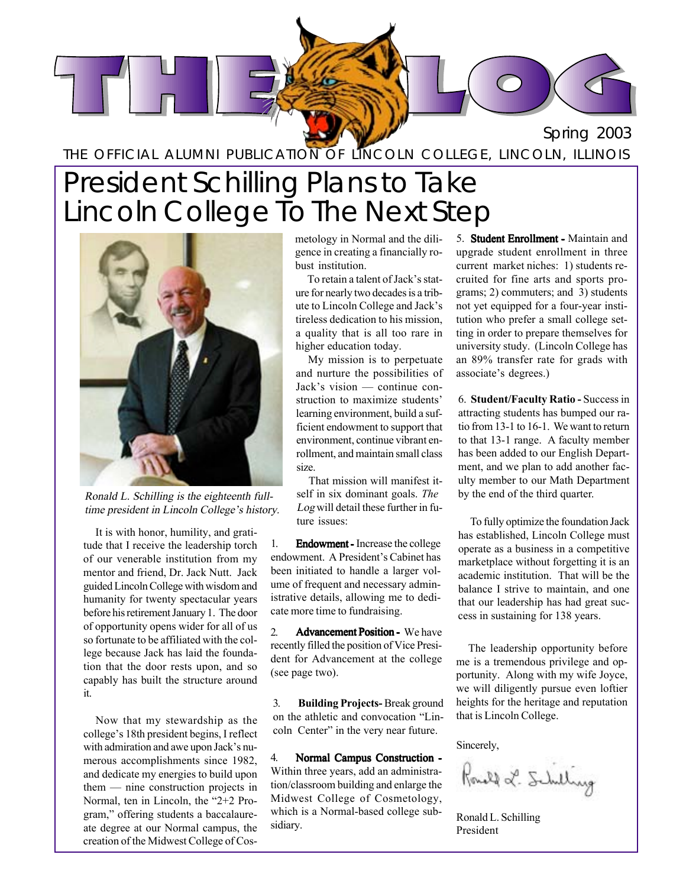

THE OFFICIAL ALUMNI PUBLICATION OF LINCOLN COLLEGE, LINCOLN, ILLINOIS

## President Schilling Plans to Take Lincoln College To The Next Step



Ronald L. Schilling is the eighteenth fulltime president in Lincoln College's history.

It is with honor, humility, and gratitude that I receive the leadership torch of our venerable institution from my mentor and friend, Dr. Jack Nutt. Jack guidedLincolnCollege with wisdomand humanity for twenty spectacular years before his retirement January 1. The door of opportunity opens wider for all of us so fortunate to be affiliated with the college because Jack has laid the foundation that the door rests upon, and so capably has built the structure around it.

Now that my stewardship as the college's 18th president begins, I reflect with admiration and awe upon Jack's numerous accomplishments since 1982, and dedicate my energies to build upon  $them$  — nine construction projects in Normal, ten in Lincoln, the  $2+2$  Program," offering students a baccalaureate degree at our Normal campus, the creation of the Midwest College of Cosmetology in Normal and the diligence in creating a financially robust institution.

To retain a talent of Jack's stature for nearly two decadesis a tribute to Lincoln College and Jack's tireless dedication to his mission, a quality that is all too rare in higher education today.

My mission is to perpetuate and nurture the possibilities of Jack's vision  $-$  continue construction to maximize students' learning environment, build a sufficient endowment to support that environment, continue vibrant enrollment, and maintain small class size.

That mission will manifest itself in six dominant goals. *The* Log will detail these further in future issues:

1. **Endowment** - Increase the college endowment. A President's Cabinet has been initiated to handle a larger volume of frequent and necessary administrative details, allowing me to dedicate more time to fundraising.

2. **Advancement Position - We have** recently filled the position of Vice President for Advancement at the college (see page two).

3. **Building Projects-** Break ground on the athletic and convocation "Lincoln Center" in the very near future.

4. Normal Campus Construction -Within three years, add an administration/classroom building and enlarge the Midwest College of Cosmetology, which is a Normal-based college subsidiary.

5. **Student Enrollment - Maintain and** upgrade student enrollment in three current market niches: 1) students recruited for fine arts and sports programs; 2) commuters; and 3) students not yet equipped for a four-year institution who prefer a small college setting in order to prepare themselves for university study. (Lincoln College has an 89% transfer rate for grads with associate's degrees.)

6. **Student/Faculty Ratio -** Successin attracting students has bumped our ratio from 13-1 to 16-1. We want to return to that 13-1 range. A faculty member has been added to our English Department, and we plan to add another faculty member to our Math Department by the end of the third quarter.

To fully optimize the foundation Jack has established, Lincoln College must operate as a business in a competitive marketplace without forgetting it is an academic institution. That will be the balance I strive to maintain, and one that our leadership has had great success in sustaining for 138 years.

The leadership opportunity before me is a tremendous privilege and opportunity. Along with my wife Joyce, we will diligently pursue even loftier heights for the heritage and reputation that is Lincoln College.

Sincerely,

Rould L. Schilling

Ronald L. Schilling President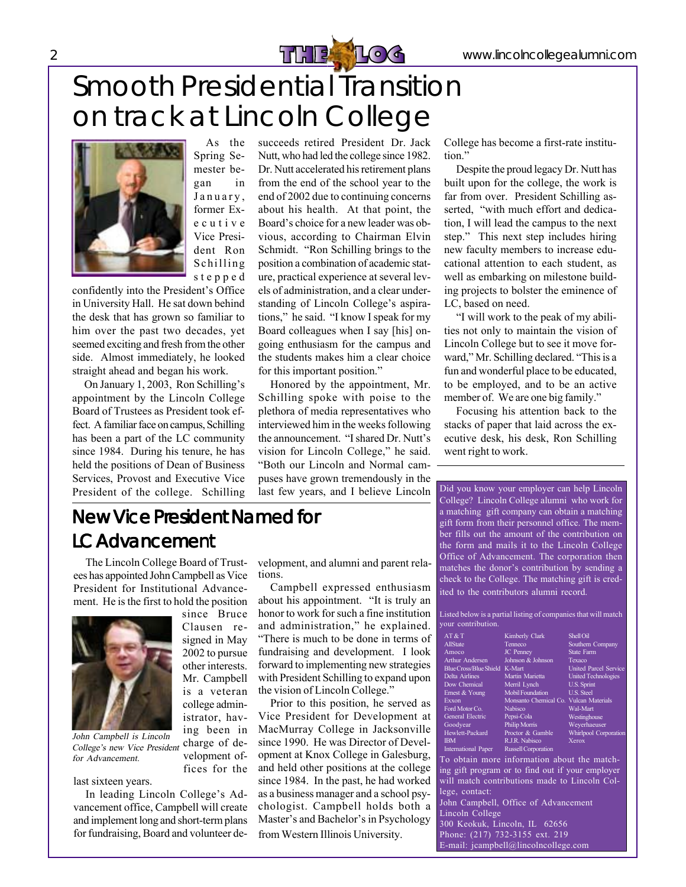



As the Spring Semester began in January, former Executive Vice President Ron Schilling stepped

confidently into the President's Office in University Hall. He sat down behind the desk that has grown so familiar to him over the past two decades, yet seemed exciting and fresh from the other side. Almost immediately, he looked straight ahead and began his work.

On January 1, 2003, Ron Schilling's appointment by the Lincoln College Board of Trustees as President took effect. A familiar face on campus, Schilling has been a part of the LC community since 1984. During his tenure, he has held the positions of Dean of Business Services, Provost and Executive Vice President of the college. Schilling succeeds retired President Dr. Jack Nutt, who had led the college since 1982. Dr. Nutt accelerated his retirement plans from the end of the school year to the end of 2002 due to continuing concerns about his health. At that point, the Board's choice for a new leader was obvious, according to Chairman Elvin Schmidt. "Ron Schilling brings to the position a combination of academic stature, practical experience at several levels of administration, and a clear understanding of Lincoln College's aspirations," he said. "I know I speak for my Board colleagues when I say [his] ongoing enthusiasm for the campus and the students makes him a clear choice for this important position."

Honored by the appointment, Mr. Schilling spoke with poise to the plethora of media representatives who interviewed him in the weeks following the announcement. "I shared Dr. Nutt's vision for Lincoln College," he said. "Both our Lincoln and Normal campuses have grown tremendously in the last few years, and I believe Lincoln College has become a first-rate institution."

Despite the proud legacy Dr. Nutt has built upon for the college, the work is far from over. President Schilling asserted, "with much effort and dedication, I will lead the campus to the next step." This next step includes hiring new faculty members to increase educational attention to each student, as well as embarking on milestone building projects to bolster the eminence of LC, based on need.

"I will work to the peak of my abilities not only to maintain the vision of Lincoln College but to see it move forward," Mr. Schilling declared. "This is a fun and wonderful place to be educated, to be employed, and to be an active member of. We are one big family."

Focusing his attention back to the stacks of paper that laid across the executive desk, his desk, Ron Schilling went right to work.

### New Vice President Named for LC Advancement

since Bruce Clausen resigned in May 2002 to pursue other interests. Mr. Campbell is a veteran college administrator, hav-

The Lincoln College Board of Trustees has appointed JohnCampbell as Vice President for Institutional Advancement. He is the first to hold the position



ing been in charge of development offices for the John Campbell is Lincoln College's new Vice President for Advancement.

last sixteen years.

In leading Lincoln College's Advancement office, Campbell will create and implement long and short-termplans for fundraising, Board and volunteer development, and alumni and parent relations.

Campbell expressed enthusiasm about his appointment. "It is truly an honor to work for such a fine institution and administration," he explained. "There is much to be done in terms of fundraising and development. I look forward to implementing new strategies with President Schilling to expand upon the vision of Lincoln College."

Prior to this position, he served as Vice President for Development at MacMurray College in Jacksonville since 1990. He was Director of Development at Knox College in Galesburg, and held other positions at the college since 1984. In the past, he had worked as a business manager and a school psychologist. Campbell holds both a Master's and Bachelor's in Psychology from Western Illinois University.

Did you know your employer can help Lincoln College? Lincoln College alumni who work for a matching gift company can obtain a matching gift form from their personnel office. The member fills out the amount of the contribution on the form and mails it to the Lincoln College Office of Advancement. The corporation then matches the donor's contribution by sending a check to the College. The matching gift is credited to the contributors alumni record.

Listed below is a partial listing of companies that will match your contribution.

| AT&T                          | Kimberly Clark                              | <b>Shell Oil</b>             |
|-------------------------------|---------------------------------------------|------------------------------|
| AllState                      | Tenneco                                     | Southern Company             |
| Amoco                         | <b>JC</b> Penney                            | <b>State Farm</b>            |
| <b>Arthur Andersen</b>        | Johnson & Johnson                           | Texaco                       |
| Blue Cross/Blue Shield K-Mart |                                             | <b>United Parcel Service</b> |
| Delta Airlines                | Martin Marietta                             | <b>United Technologies</b>   |
| Dow Chemical                  | Merril Lynch                                | U.S. Sprint                  |
| Ernest & Young                | <b>Mobil Foundation</b>                     | <b>U.S. Steel</b>            |
| Exxon                         | Monsanto Chemical Co. Vulcan Materials      |                              |
| Ford Motor Co.                | <b>Nabisco</b>                              | Wal-Mart                     |
| General Electric              | Pepsi-Cola                                  | Westinghouse                 |
| Goodyear                      | <b>Philip Morris</b>                        | Weverhaeuser                 |
| Hewlett-Packard               | Proctor & Gamble                            | <b>Whirlpool Corporation</b> |
| <b>IBM</b>                    | R.J.R. Nabisco                              | Xerox                        |
| <b>International Paper</b>    | <b>Russell Corporation</b>                  |                              |
|                               | To oktoin more information about the motel. |                              |

To obtain more information about the matching gift program or to find out if your employer will match contributions made to Lincoln College, contact:

John Campbell, Office of Advancement Lincoln College 300 Keokuk, Lincoln, IL 62656 Phone: (217) 732-3155 ext. 219 E-mail: jcampbell@lincolncollege.com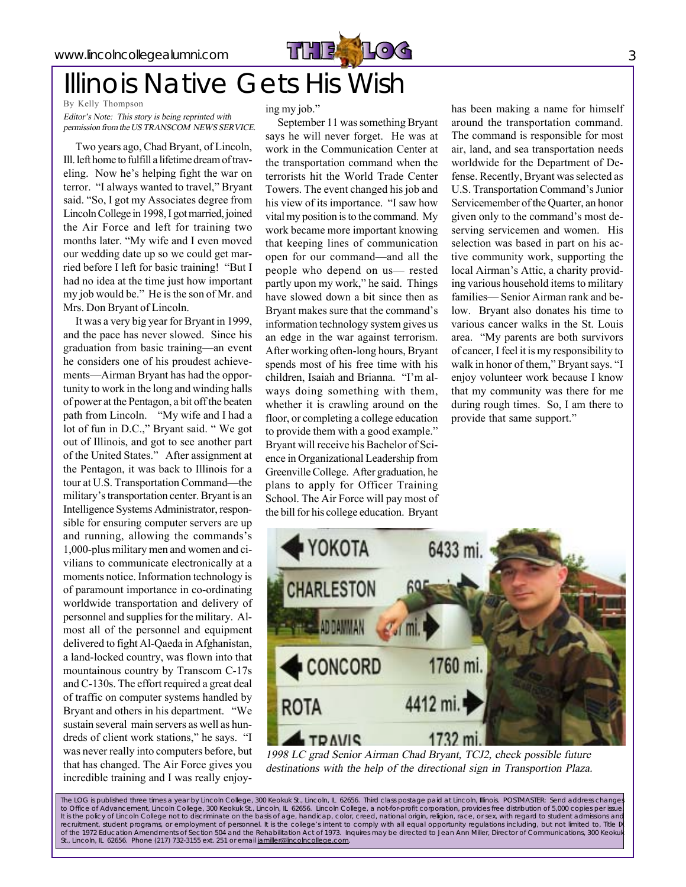

## Illinois Native Gets His Wish

By Kelly Thompson

Editor's Note: This story is being reprinted with permission from the US TRANSCOM NEWS SERVICE.

Two years ago, Chad Bryant, of Lincoln, Ill. left home to fulfill a lifetime dream of traveling. Now he's helping fight the war on terror. "I always wanted to travel," Bryant said. "So, I got my Associates degree from Lincoln College in 1998, I got married, joined the Air Force and left for training two months later. "My wife and I even moved our wedding date up so we could get married before I left for basic training! "But I had no idea at the time just how important my job would be." He is the son of Mr. and Mrs. Don Bryant of Lincoln.

It was a very big year for Bryant in 1999, and the pace has never slowed. Since his graduation from basic training—an event he considers one of his proudest achievements—Airman Bryant has had the opportunity to work in the long and winding halls of power at the Pentagon, a bit offthe beaten path from Lincoln. "My wife and I had a lot of fun in D.C.," Bryant said. "We got out of Illinois, and got to see another part of the United States." After assignment at the Pentagon, it was back to Illinois for a tour at U.S. Transportation Command—the military's transportation center. Bryant is an Intelligence Systems Administrator, responsible for ensuring computer servers are up and running, allowing the commands's 1,000-plus military men and women and civilians to communicate electronically at a moments notice. Information technology is of paramount importance in co-ordinating worldwide transportation and delivery of personnel and supplies for the military. Almost all of the personnel and equipment delivered to fight Al-Qaeda in Afghanistan, a land-locked country, was flown into that mountainous country by Transcom C-17s and C-130s. The effort required a great deal of traffic on computer systems handled by Bryant and others in his department. "We sustain several main servers as well as hundreds of client work stations," he says. "I was never really into computers before, but that has changed. The Air Force gives you incredible training and I was really enjoying my job."

September 11 was something Bryant says he will never forget. He was at work in the Communication Center at the transportation command when the terrorists hit the World Trade Center Towers. The event changed his job and his view of its importance. "I saw how vital my position is to the command. My work became more important knowing that keeping lines of communication open for our command—and all the people who depend on us- rested partly upon my work," he said. Things have slowed down a bit since then as Bryant makes sure that the command's information technology system gives us an edge in the war against terrorism. After working often-long hours, Bryant spends most of his free time with his children, Isaiah and Brianna. "I'm always doing something with them, whether it is crawling around on the floor, or completing a college education to provide them with a good example." Bryant will receive his Bachelor of Science in Organizational Leadership from GreenvilleCollege. After graduation, he plans to apply for Officer Training School. The Air Force will pay most of the bill for his college education. Bryant

has been making a name for himself around the transportation command. The command is responsible for most air, land, and sea transportation needs worldwide for the Department of Defense. Recently, Bryant was selected as U.S. Transportation Command's Junior Servicemember of the Quarter, an honor given only to the command's most deserving servicemen and women. His selection was based in part on his active community work, supporting the local Airman's Attic, a charity providing various household items to military families—Senior Airman rank and below. Bryant also donates his time to various cancer walks in the St. Louis area. "My parents are both survivors of cancer,I feel it is my responsibility to walk in honor of them," Bryant says. "I enjoy volunteer work because I know that my community was there for me during rough times. So, I am there to provide that same support."



1998 LC grad Senior Airman Chad Bryant, TCJ2, check possible future destinations with the help of the directional sign in Transportion Plaza.

The LOG is published three times a year by Lincoln College, 300 Keokuk St., Lincoln, IL 62656. Third class postage paid at Lincoln, Illinois. POSTMASTER: Send address changes<br>to Office of Advancement, Lincoln College, 3 It is the policy of Lincoln College not to discriminate on the basis of age, handicap, color, creed, national origin, religion, race, or sex, with regard to student admissions and recruitment, student programs, or employment of personnel. It is the college's intent to comply with all equal opportunity regulations including, but not limited to, Title I of the 1972 Education Amendments of Section 504 and the Rehabilitation Act of 1973. Inquires may be directed to Jean Ann Miller, Director of Communications, 300 Keokuk St., Lincoln, IL 62656. Phone (217) 732-3155 ext. 251 or email jamiller@lincolncollege.com.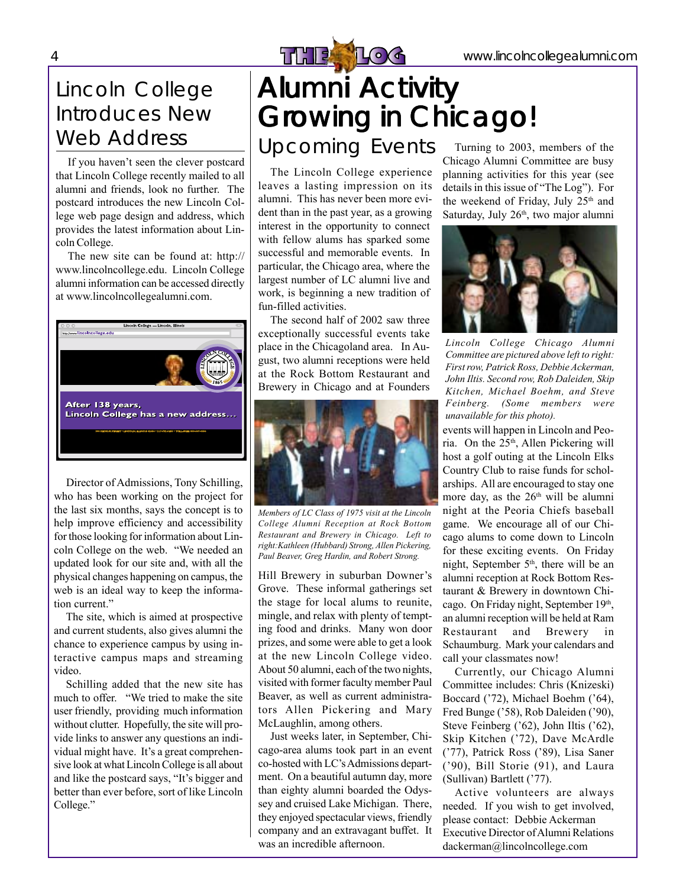### Lincoln College Introduces New Web Address

If you haven't seen the clever postcard that Lincoln College recently mailed to all alumni and friends, look no further. The postcard introduces the new Lincoln College web page design and address, which provides the latest information about Lincoln College.

The new site can be found at: http:// www.lincolncollege.edu. Lincoln College alumni information can be accessed directly at www.lincolncollegealumni.com.



Director of Admissions, Tony Schilling, who has been working on the project for the last six months, says the concept is to help improve efficiency and accessibility for those looking for information about Lincoln College on the web. "We needed an updated look for our site and, with all the physical changes happening on campus, the web is an ideal way to keep the information current."

The site, which is aimed at prospective and current students, also gives alumni the chance to experience campus by using interactive campus maps and streaming video.

Schilling added that the new site has much to offer. "We tried to make the site user friendly, providing much information without clutter. Hopefully, the site will provide links to answer any questions an individual might have. It's a great comprehensive look at what LincolnCollege is all about and like the postcard says, "It's bigger and better than ever before, sort of like Lincoln College."

## **Alumni Activity** Growing in Chicago! 4 WETHE LOG www.lincolncollegealumni.com

### Upcoming Events

The Lincoln College experience leaves a lasting impression on its alumni. This has never been more evident than in the past year, as a growing interest in the opportunity to connect with fellow alums has sparked some successful and memorable events. In particular, the Chicago area, where the largest number of LC alumni live and work, is beginning a new tradition of fun-filled activities.

The second half of 2002 saw three exceptionally successful events take place in the Chicagoland area. In August, two alumni receptions were held at the Rock Bottom Restaurant and Brewery in Chicago and at Founders



*Members of LC Class of 1975 visit at the Lincoln College Alumni Reception at Rock Bottom Restaurant and Brewery in Chicago. Left to right:Kathleen (Hubbard) Strong, Allen Pickering, Paul Beaver, Greg Hardin, and Robert Strong.*

Hill Brewery in suburban Downer's Grove. These informal gatherings set the stage for local alums to reunite, mingle, and relax with plenty of tempting food and drinks. Many won door prizes, and some were able to get a look at the new Lincoln College video. About 50 alumni, each of the two nights, visited with former faculty member Paul Beaver, as well as current administrators Allen Pickering and Mary McLaughlin, among others.

Just weeks later, in September, Chicago-area alums took part in an event co-hosted with LC's Admissions department. On a beautiful autumn day, more than eighty alumni boarded the Odyssey and cruised Lake Michigan. There, they enjoyed spectacular views, friendly company and an extravagant buffet. It was an incredible afternoon.

Turning to 2003, members of the Chicago Alumni Committee are busy planning activities for this year (see details in this issue of "The Log"). For the weekend of Friday, July  $25<sup>th</sup>$  and Saturday, July 26<sup>th</sup>, two major alumni



*Lincoln College Chicago Alumni Committee are pictured above left to right: Firstrow, Patrick Ross, Debbie Ackerman, John Iltis. Second row, Rob Daleiden, Skip Kitchen, Michael Boehm, and Steve Feinberg. (Some members were unavailable for this photo).*

events will happen in Lincoln and Peoria. On the 25<sup>th</sup>, Allen Pickering will host a golf outing at the Lincoln Elks Country Club to raise funds for scholarships. All are encouraged to stay one more day, as the  $26<sup>th</sup>$  will be alumni night at the Peoria Chiefs baseball game. We encourage all of our Chicago alums to come down to Lincoln for these exciting events. On Friday night, September  $5<sup>th</sup>$ , there will be an alumni reception at Rock Bottom Restaurant & Brewery in downtown Chicago. On Friday night, September 19th, an alumni reception will be held at Ram Restaurant and Brewery in Schaumburg. Mark your calendars and call your classmates now!

Currently, our Chicago Alumni Committee includes: Chris (Knizeski) Boccard ('72), Michael Boehm ('64), Fred Bunge ('58), Rob Daleiden ('90), Steve Feinberg  $(62)$ , John Iltis  $(62)$ , Skip Kitchen ('72), Dave McArdle ('77), Patrick Ross ('89), Lisa Saner  $('90)$ , Bill Storie  $(91)$ , and Laura (Sullivan) Bartlett ('77).

Active volunteers are always needed. If you wish to get involved, please contact: Debbie Ackerman Executive Director of Alumni Relations dackerman@lincolncollege.com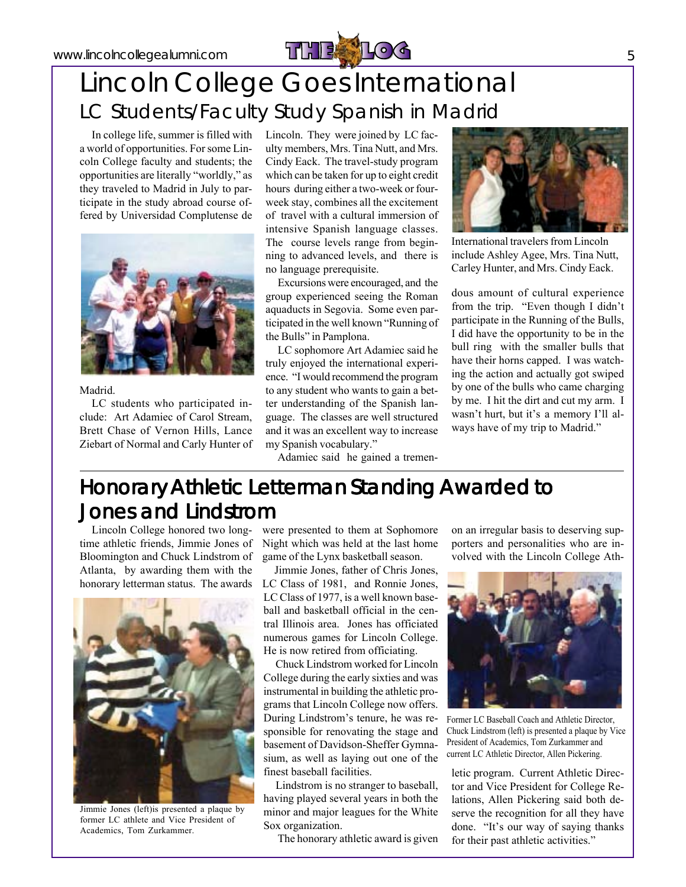

## Lincoln College Goes International LC Students/Faculty Study Spanish in Madrid

In college life, summer is filled with a world of opportunities. Forsome Lincoln College faculty and students; the opportunities are literally "worldly," as they traveled to Madrid in July to participate in the study abroad course offered by Universidad Complutense de



#### Madrid.

LC students who participated include: Art Adamiec of Carol Stream, Brett Chase of Vernon Hills, Lance Ziebart of Normal and Carly Hunter of Lincoln. They were joined by LC faculty members, Mrs. Tina Nutt, and Mrs. Cindy Eack. The travel-study program which can be taken for up to eight credit hours during either a two-week or fourweek stay, combines all the excitement of travel with a cultural immersion of intensive Spanish language classes. The course levels range from beginning to advanced levels, and there is no language prerequisite.

Excursions were encouraged, and the group experienced seeing the Roman aquaducts in Segovia. Some even participated in the well known "Running of the Bulls" in Pamplona.

LC sophomore Art Adamiec said he truly enjoyed the international experience. "I would recommend the program to any student who wants to gain a better understanding of the Spanish language. The classes are well structured and it was an excellent way to increase my Spanish vocabulary."

Adamiec said he gained a tremen-



International travelers from Lincoln include Ashley Agee, Mrs. Tina Nutt, Carley Hunter, and Mrs. Cindy Eack.

dous amount of cultural experience from the trip. "Even though I didn't participate in the Running of the Bulls, I did have the opportunity to be in the bull ring with the smaller bulls that have their horns capped. I was watching the action and actually got swiped by one of the bulls who came charging by me. I hit the dirt and cut my arm. I wasn't hurt, but it's a memory I'll always have of my trip to Madrid."

### Honorary Athletic Letterman Standing Awarded to Jones and Lindstrom

Lincoln College honored two longtime athletic friends, Jimmie Jones of Bloomington and Chuck Lindstrom of Atlanta, by awarding them with the honorary letterman status. The awards



Jimmie Jones (left)is presented a plaque by former LC athlete and Vice President of Academics, Tom Zurkammer.

were presented to them at Sophomore Night which was held at the last home game of the Lynx basketball season.

Jimmie Jones, father of Chris Jones, LC Class of 1981, and Ronnie Jones, LC Class of 1977, is a well known baseball and basketball official in the central Illinois area. Jones has officiated numerous games for Lincoln College. He is now retired from officiating.

Chuck Lindstrom worked for Lincoln College during the early sixties and was instrumental in building the athletic programs that Lincoln College now offers. During Lindstrom's tenure, he was responsible for renovating the stage and basement of Davidson-Sheffer Gymnasium, as well as laying out one of the finest baseball facilities.

Lindstrom is no stranger to baseball, having played several years in both the minor and major leagues for the White Sox organization.

The honorary athletic award is given

on an irregular basis to deserving supporters and personalities who are involved with the Lincoln College Ath-



Former LC Baseball Coach and Athletic Director, Chuck Lindstrom (left) is presented a plaque by Vice President of Academics, Tom Zurkammer and current LC Athletic Director, Allen Pickering.

letic program. Current Athletic Director and Vice President for College Relations, Allen Pickering said both deserve the recognition for all they have done. "It's our way of saying thanks" for their past athletic activities."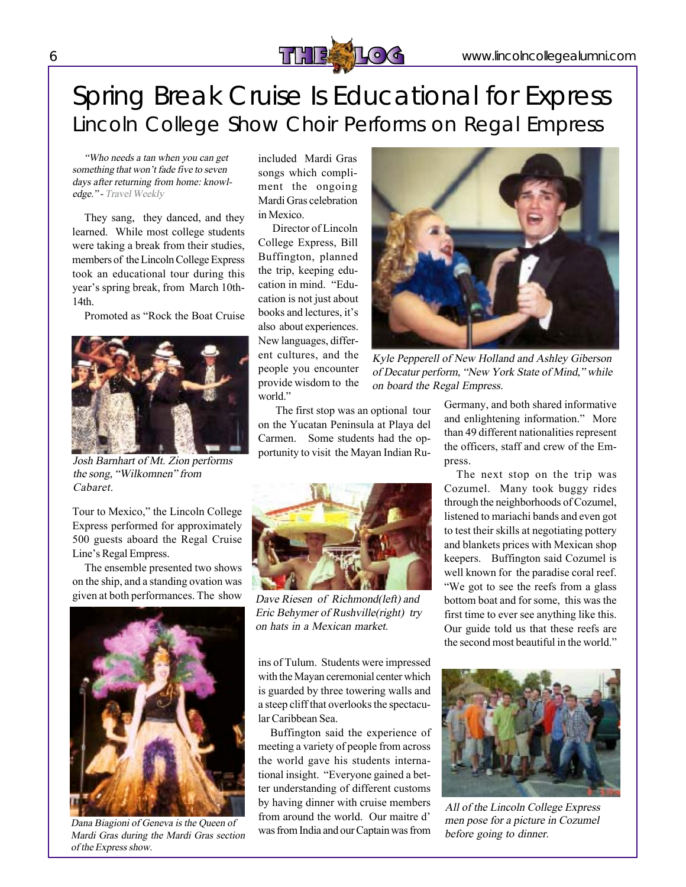

## Spring Break Cruise Is Educational for Express Lincoln College Show Choir Performs on Regal Empress

ìWho needs <sup>a</sup> tan when you can get something that won't fade five to seven days after returning from home: knowledge." - Travel Weekly

They sang, they danced, and they learned. While most college students were taking a break from their studies, members of the Lincoln College Express took an educational tour during this year's spring break, from March 10th-14th.

Promoted as "Rock the Boat Cruise"



Josh Barnhart of Mt. Zion performs the song, "Wilkomnen" from Cabaret.

Tour to Mexico," the Lincoln College Express performed for approximately 500 guests aboard the Regal Cruise Line's Regal Empress.

The ensemble presented two shows on the ship, and a standing ovation was given at both performances. The show



Dana Biagioni of Geneva is the Queen of Mardi Gras during the Mardi Gras section of the Express show.

included Mardi Gras songs which compliment the ongoing Mardi Gras celebration in Mexico.

Director of Lincoln College Express, Bill Buffington, planned the trip, keeping education in mind. "Education is not just about books and lectures, it's also about experiences. New languages, different cultures, and the people you encounter provide wisdom to the world."

 The first stop was an optional tour on the Yucatan Peninsula at Playa del Carmen. Some students had the opportunity to visit the Mayan Indian Ru-



Dave Riesen of Richmond(left) and Eric Behymer of Rushville(right) try on hats in <sup>a</sup> Mexican market.

ins of Tulum. Students were impressed with the Mayan ceremonial center which is guarded by three towering walls and a steep cliff that overlooks the spectacular Caribbean Sea.

Buffington said the experience of meeting a variety of people from across the world gave his students international insight. "Everyone gained a better understanding of different customs by having dinner with cruise members from around the world. Our maitre d' was from India and our Captain was from



Kyle Pepperell of New Holland and Ashley Giberson of Decatur perform, "New York State of Mind," while on board the Regal Empress.

Germany, and both shared informative and enlightening information." More than 49 different nationalities represent the officers, staff and crew of the Empress.

The next stop on the trip was Cozumel. Many took buggy rides through the neighborhoods of Cozumel, listened to mariachi bands and even got to test their skills at negotiating pottery and blankets prices with Mexican shop keepers. Buffington said Cozumel is well known for the paradise coral reef. "We got to see the reefs from a glass bottom boat and for some, this was the first time to ever see anything like this. Our guide told us that these reefs are the second most beautiful in the world."



All of the Lincoln College Express men pose for <sup>a</sup> picture in Cozumel before going to dinner.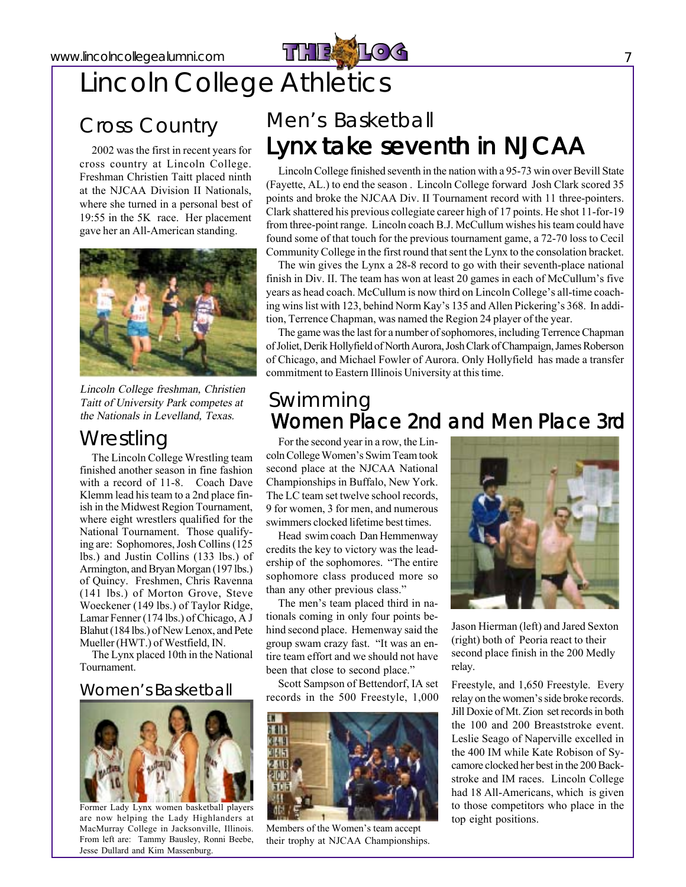

## Lincoln College Athletics

### Cross Country

2002 was the first in recent years for cross country at Lincoln College. Freshman Christien Taitt placed ninth at the NJCAA Division II Nationals, where she turned in a personal best of 19:55 in the 5K race. Her placement gave her an All-American standing.



Lincoln College freshman, Christien Taitt of University Park competes at the Nationals in Levelland, Texas.

#### **Wrestling**

The Lincoln College Wrestling team finished another season in fine fashion with a record of 11-8. Coach Dave Klemm lead histeam to a 2nd place finish in the Midwest Region Tournament, where eight wrestlers qualified for the National Tournament. Those qualifying are: Sophomores, Josh Collins (125) lbs.) and Justin Collins (133 lbs.) of Armington, and Bryan Morgan (197 lbs.) of Quincy. Freshmen, Chris Ravenna (141 lbs.) of Morton Grove, Steve Woeckener (149 lbs.) of Taylor Ridge, Lamar Fenner (174 lbs.) of Chicago, A J Blahut(184 lbs.) of New Lenox, and Pete Mueller (HWT.) of Westfield, IN.

The Lynx placed 10th in the National Tournament.

#### Women's Basketball



Former Lady Lynx women basketball players are now helping the Lady Highlanders at MacMurray College in Jacksonville, Illinois. From left are: Tammy Bausley, Ronni Beebe, Jesse Dullard and Kim Massenburg.

### Men's Basketball Lynx take seventh in NJCAA

Lincoln College finished seventh in the nation with a 95-73 win over Bevill State (Fayette, AL.) to end the season . Lincoln College forward Josh Clark scored 35 points and broke the NJCAA Div. II Tournament record with 11 three-pointers. Clark shattered his previous collegiate career high of 17 points. He shot 11-for-19 from three-point range. Lincoln coach B.J. McCullum wishes histeam could have found some of that touch for the previous tournament game, a 72-70 loss to Cecil Community College in the first round that sent the Lynx to the consolation bracket.

The win gives the Lynx a 28-8 record to go with their seventh-place national finish in Div. II. The team has won at least  $20$  games in each of McCullum's five years as head coach. McCullum is now third on Lincoln College's all-time coaching wins list with 123, behind Norm Kay's 135 and Allen Pickering's 368. In addition, Terrence Chapman, was named the Region 24 player of the year.

The game was the last for a number of sophomores, including Terrence Chapman of Joliet, Derik Hollyfield of North Aurora, Josh Clark of Champaign, James Roberson of Chicago, and Michael Fowler of Aurora. Only Hollyfield has made a transfer commitment to Eastern Illinois University at this time.

#### Swimming Women Place 2nd and Men Place 3rd

For the second year in a row, the Lincoln College Women's Swim Team took second place at the NJCAA National Championships in Buffalo, New York. The LC team set twelve school records, 9 for women, 3 for men, and numerous swimmers clocked lifetime best times.

Head swim coach Dan Hemmenway credits the key to victory was the leadership of the sophomores. "The entire sophomore class produced more so than any other previous class."

The men's team placed third in nationals coming in only four points behind second place. Hemenway said the group swam crazy fast. "It was an entire team effort and we should not have been that close to second place."

Scott Sampson of Bettendorf, IA set records in the 500 Freestyle, 1,000



Members of the Women's team accept their trophy at NJCAA Championships.



Jason Hierman (left) and Jared Sexton (right) both of Peoria react to their second place finish in the 200 Medly relay.

Freestyle, and 1,650 Freestyle. Every relay on the women's side broke records. Jill Doxie of Mt. Zion setrecordsin both the 100 and 200 Breaststroke event. Leslie Seago of Naperville excelled in the 400 IM while Kate Robison of Sycamore clocked her best in the 200 Backstroke and IM races. Lincoln College had 18 All-Americans, which is given to those competitors who place in the top eight positions.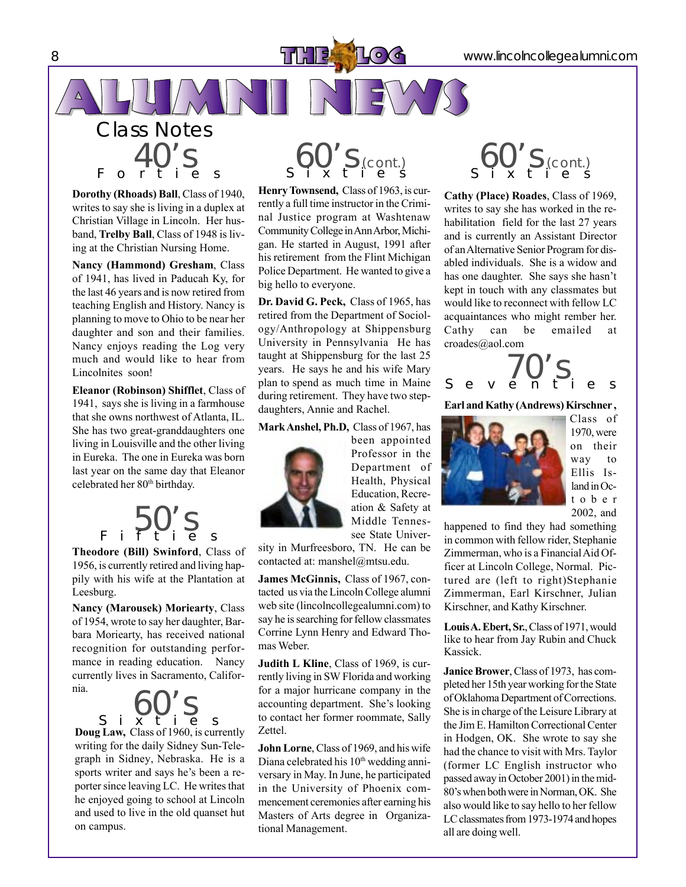40's Forties **Dorothy (Rhoads) Ball**, Class of 1940, writes to say she is living in a duplex at Christian Village in Lincoln. Her husband, **Trelby Ball**, Class of 1948 is living at the Christian Nursing Home.

Class Notes

**Nancy (Hammond) Gresham**, Class of 1941, has lived in Paducah Ky, for the last 46 years and is now retired from teaching English and History. Nancy is planning to move to Ohio to be near her daughter and son and their families. Nancy enjoys reading the Log very much and would like to hear from Lincolnites soon!

**Eleanor (Robinson) Shifflet**, Class of 1941, says she is living in a farmhouse that she owns northwest of Atlanta, IL. She has two great-granddaughters one living in Louisville and the other living in Eureka. The one in Eureka was born last year on the same day that Eleanor celebrated her 80<sup>th</sup> birthday.

50's Fifties **Theodore (Bill) Swinford**, Class of

1956, is currently retired and living happily with his wife at the Plantation at Leesburg.

**Nancy (Marousek) Moriearty**, Class of 1954, wrote to say her daughter, Barbara Moriearty, has received national recognition for outstanding performance in reading education. Nancy currently lives in Sacramento, Califor-

**Doug Law,** Class of 1960, is currently writing for the daily Sidney Sun-Telegraph in Sidney, Nebraska. He is a sports writer and says he's been a reporter since leaving LC. He writes that he enjoyed going to school at Lincoln and used to live in the old quanset hut on campus.  $\int_S$  i  $\bigcirc$   $\bigcirc$   $\bigcirc$   $\bigcirc$   $\bigcirc$   $\bigcirc$  s

 $\left\{ 60'$  S (cont.)

Henry Townsend, Class of 1963, is currently a full time instructor in the Criminal Justice program at Washtenaw Community College in Ann Arbor, Michigan. He started in August, 1991 after his retirement from the Flint Michigan Police Department. He wanted to give a big hello to everyone.

**Dr. David G. Peck,** Class of 1965, has retired from the Department of Sociology/Anthropology at Shippensburg University in Pennsylvania He has taught at Shippensburg for the last 25 years. He says he and his wife Mary plan to spend as much time in Maine during retirement. They have two stepdaughters, Annie and Rachel.

#### **MarkAnshel, Ph.D,** Class of 1967, has

been appointed Professor in the Department of Health, Physical Education, Recreation & Safety at Middle Tennessee State Univer-

sity in Murfreesboro, TN. He can be contacted at: manshel@mtsu.edu.

**James McGinnis,** Class of 1967, contacted us via the Lincoln College alumni web site (lincolncollegealumni.com) to say he is searching for fellow classmates Corrine Lynn Henry and Edward Thomas Weber.

**Judith L Kline**, Class of 1969, is currently living in SW Florida and working for a major hurricane company in the accounting department. She's looking to contact her former roommate, Sally Zettel.

**John Lorne**, Class of 1969, and his wife Diana celebrated his  $10<sup>th</sup>$  wedding anniversary in May. In June, he participated in the University of Phoenix commencement ceremonies after earning his Masters of Arts degree in Organizational Management.

 $\mathcal{L}$  60's (cont.)

**Cathy (Place) Roades**, Class of 1969, writes to say she has worked in the rehabilitation field for the last 27 years and is currently an Assistant Director of anAlternative Senior Program for disabled individuals. She is a widow and has one daughter. She says she hasn't kept in touch with any classmates but would like to reconnect with fellow LC acquaintances who might rember her. Cathy can be emailed at croades@aol.com



#### **Earl andKathy (Andrews)Kirschner ,**



Class of 1970,were on their way to Ellis Island in October 2002, and

happened to find they had something in common with fellow rider, Stephanie Zimmerman, who is a FinancialAid Officer at Lincoln College, Normal. Pictured are (left to right)Stephanie Zimmerman, Earl Kirschner, Julian Kirschner, and Kathy Kirschner.

Louis A. Ebert, Sr., Class of 1971, would like to hear from Jay Rubin and Chuck Kassick.

Janice Brower, Class of 1973, has completed her 15th year working forthe State of Oklahoma Department of Corrections. She is in charge of the Leisure Library at the Jim E. Hamilton Correctional Center in Hodgen, OK. She wrote to say she had the chance to visit with Mrs. Taylor (former LC English instructor who passed away in October 2001) in the mid-80íswhen bothwere inNorman,OK. She also would like to say hello to her fellow LC classmates from 1973-1974 and hopes all are doing well.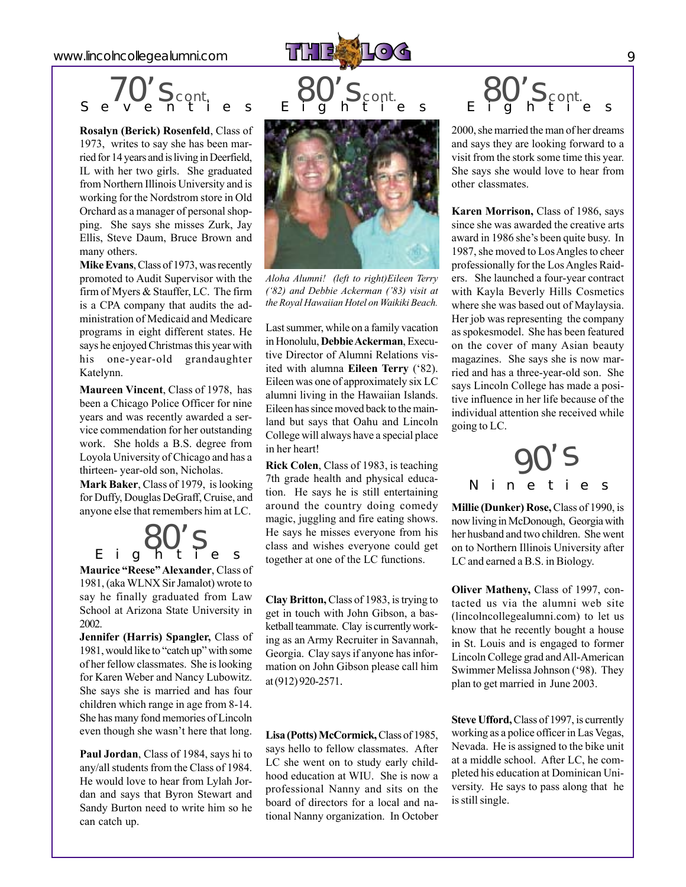www.lincolncollegealumni.com **9** PLATE **19 August 2004** 9



$$
\begin{array}{c}\n\overline{70'}S_{cont} \\
\end{array}
$$

**Rosalyn (Berick) Rosenfeld**, Class of 1973, writes to say she has been married for 14 years and is living in Deerfield, IL with her two girls. She graduated from Northern Illinois University and is working for the Nordstrom store in Old Orchard as a manager of personal shopping. She says she misses Zurk, Jay Ellis, Steve Daum, Bruce Brown and many others.

**Mike Evans**, Class of 1973, was recently promoted to Audit Supervisor with the firm of Myers & Stauffer, LC. The firm is a CPA company that audits the administration of Medicaid and Medicare programs in eight different states. He says he enjoyed Christmas this year with his one-year-old grandaughter Katelynn.

**Maureen Vincent**, Class of 1978, has been a Chicago Police Officer for nine years and was recently awarded a service commendation for her outstanding work. She holds a B.S. degree from Loyola University of Chicago and has a thirteen- year-old son, Nicholas.

**Mark Baker**, Class of 1979, islooking for Duffy, Douglas DeGraff, Cruise, and anyone else that remembers him at LC.

**Maurice "Reese" Alexander, Class of** 1981, (aka WLNX Sir Jamalot) wrote to say he finally graduated from Law School at Arizona State University in 2002.  $\begin{matrix}80'\\ 5 \end{matrix}$ 

**Jennifer (Harris) Spangler,** Class of 1981, would like to "catch up" with some of her fellow classmates. She islooking for Karen Weber and Nancy Lubowitz. She says she is married and has four children which range in age from 8-14. She has many fond memories of Lincoln even though she wasn't here that long.

**Paul Jordan**, Class of 1984, says hi to any/all students from the Class of 1984. He would love to hear from Lylah Jordan and says that Byron Stewart and Sandy Burton need to write him so he can catch up.



*Aloha Alumni! (left to right)Eileen Terry (ë82) and Debbie Ackerman (í83) visit at the Royal Hawaiian Hotel on Waikiki Beach.*

Last summer, while on a family vacation in Honolulu, Debbie Ackerman, Executive Director of Alumni Relations visited with alumna **Eileen Terry** ('82). Eileen was one of approximately six LC alumni living in the Hawaiian Islands. Eileen has since moved back to the mainland but says that Oahu and Lincoln College will always have a special place in her heart!

**Rick Colen**, Class of 1983, is teaching 7th grade health and physical education. He says he is still entertaining around the country doing comedy magic, juggling and fire eating shows. He says he misses everyone from his class and wishes everyone could get together at one of the LC functions.

**Clay Britton,** Class of 1983, istrying to get in touch with John Gibson, a basketball teammate. Clay is currently working as an Army Recruiter in Savannah, Georgia. Clay says if anyone has information on John Gibson please call him at(912) 920-2571.

**Lisa (Potts)McCormick,**Class of 1985, says hello to fellow classmates. After LC she went on to study early childhood education at WIU. She is now a professional Nanny and sits on the board of directors for a local and national Nanny organization. In October

# $\bigotimes_{E} Q'$ S cont.

2000, she married the man of her dreams and says they are looking forward to a visit from the stork some time this year. She says she would love to hear from other classmates.

**Karen Morrison,** Class of 1986, says since she was awarded the creative arts award in 1986 she's been quite busy. In 1987, she moved to Los Angles to cheer professionally for the LosAngles Raiders. She launched a four-year contract with Kayla Beverly Hills Cosmetics where she was based out of Maylaysia. Her job was representing the company asspokesmodel. She has been featured on the cover of many Asian beauty magazines. She says she is now married and has a three-year-old son. She says Lincoln College has made a positive influence in her life because of the individual attention she received while going to LC.



**Millie (Dunker) Rose,** Class of 1990, is nowliving inMcDonough, Georgiawith her husband and two children. She went on to Northern Illinois University after LC and earned a B.S. in Biology.

**Oliver Matheny,** Class of 1997, contacted us via the alumni web site (lincolncollegealumni.com) to let us know that he recently bought a house in St. Louis and is engaged to former Lincoln College grad andAll-American Swimmer Melissa Johnson ('98). They plan to get married in June 2003.

**Steve Ufford,**Class of 1997, is currently working as a police officer in Las Vegas, Nevada. He is assigned to the bike unit at a middle school. After LC, he completed his education at Dominican University. He says to pass along that he is still single.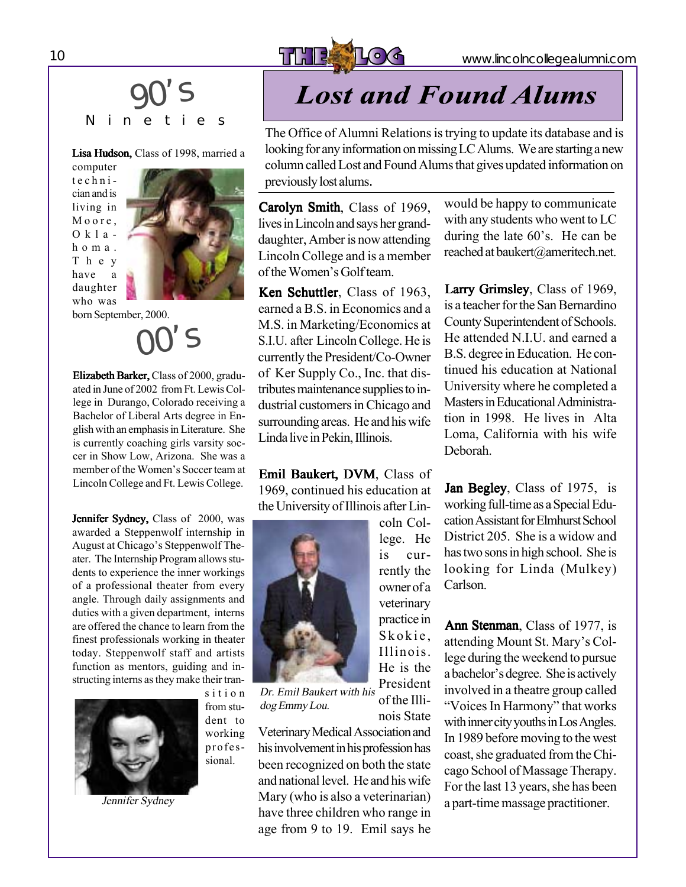

### Nineties 90's

#### Lisa Hudson, Class of 1998, married a

computer technician and is living in Moore, Oklahoma. They have a daughter who was



born September, 2000.

 $\mathsf{S}$ 

Elizabeth Barker, Class of 2000, graduated in June of 2002 from Ft. Lewis College in Durango, Colorado receiving a Bachelor of Liberal Arts degree in English with an emphasis in Literature. She is currently coaching girls varsity soccer in Show Low, Arizona. She was a member of the Women's Soccer team at Lincoln College and Ft. Lewis College.

Jennifer Sydney, Class of 2000, was awarded a Steppenwolf internship in August at Chicago's Steppenwolf Theater. The Internship Program allows students to experience the inner workings of a professional theater from every angle. Through daily assignments and duties with a given department, interns are offered the chance to learn from the finest professionals working in theater today. Steppenwolf staff and artists function as mentors, guiding and instructing interns asthey make their tran-



sition from student to working professional.

Jennifer Sydney

## **Lost and Found Alums**

The Office of Alumni Relations is trying to update its database and is looking for any information on missing LC Alums. We are starting a new column called Lost and Found Alums that gives updated information on previously lost alums.

Carolyn Smith, Class of 1969, lives in Lincoln and says her granddaughter, Amber is now attending Lincoln College and is a member of the Women's Golfteam.

Ken Schuttler, Class of 1963. earned a B.S. in Economics and a M.S. in Marketing/Economics at S.I.U. after LincolnCollege. He is currently the President/Co-Owner of Ker Supply Co., Inc. that distributes maintenance supplies to industrial customers in Chicago and surrounding areas. He and hiswife Linda live in Pekin, Illinois.

Emil Baukert, DVM, Class of 1969, continued his education at the University of Illinois after Lin-

> coln College. He is currently the owner of a veterinary practice in Skokie, Illinois. He is the



of the Illinois State Dr. Emil Baukert with his dog Emmy Lou.

VeterinaryMedicalAssociationand his involvement in his profession has been recognized on both the state and national level. He and his wife Mary (who is also a veterinarian) have three children who range in age from 9 to 19. Emil says he would be happy to communicate with any students who went to LC during the late  $60$ 's. He can be reached at baukert@ameritech.net.

Larry Grimsley, Class of 1969, is a teacher for the San Bernardino County Superintendent of Schools. He attended N.I.U. and earned a B.S. degree in Education. He continued his education at National University where he completed a Masters in Educational Administration in 1998. He lives in Alta Loma, California with his wife Deborah.

Jan Begley, Class of 1975, is working full-time as a Special Education Assistant for Elmhurst School District 205. She is a widow and has two sons in high school. She is looking for Linda (Mulkey) Carlson.

Ann Stenman, Class of 1977, is attending Mount St. Mary's College during the weekend to pursue a bachelor's degree. She is actively involved in a theatre group called "Voices In Harmony" that works with inner city youths in Los Angles. In 1989 before moving to the west coast, she graduated from the Chicago School of Massage Therapy. For the last 13 years, she has been a part-time massage practitioner.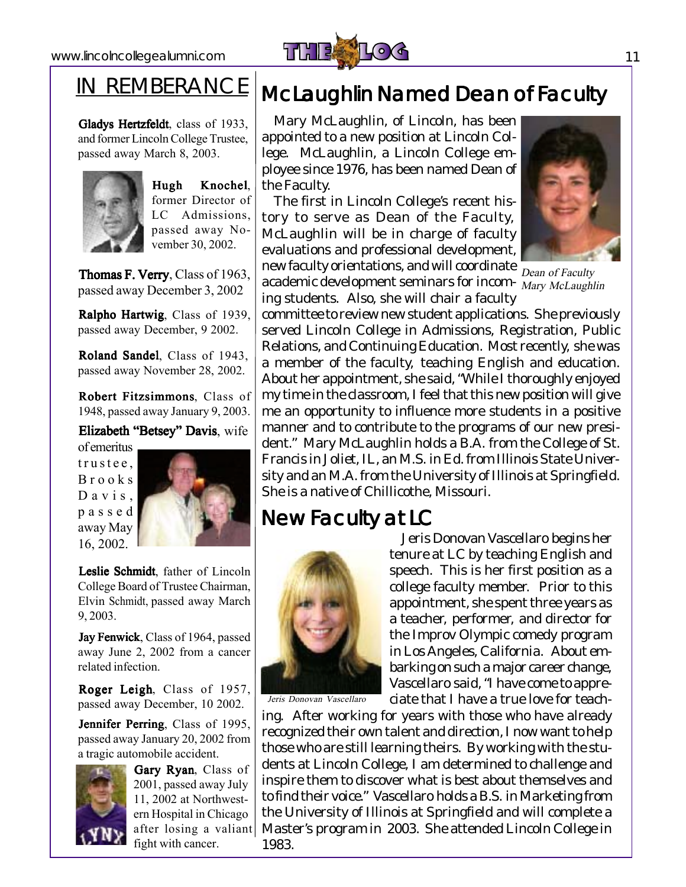

### IN REMBERANCE

Gladys Hertzfeldt, class of 1933, and former LincolnCollege Trustee, passed away March 8, 2003.



Hugh Knochel, former Director of LC Admissions, passed away November 30, 2002.

Thomas F. Verry, Class of 1963, passed away December 3, 2002

Ralpho Hartwig, Class of 1939, passed away December, 9 2002.

Roland Sandel, Class of 1943, passed away November 28, 2002.

Robert Fitzsimmons, Class of 1948, passed away January 9, 2003.

Elizabeth "Betsey" Davis, wife

of emeritus trustee, Brooks Davis, passed away May 16, 2002.



Leslie Schmidt, father of Lincoln College Board of Trustee Chairman, Elvin Schmidt, passed away March 9, 2003.

Jay Fenwick, Class of 1964, passed away June 2, 2002 from a cancer related infection.

Roger Leigh, Class of 1957, passed away December, 10 2002.

Jennifer Perring, Class of 1995, passed away January 20, 2002 from a tragic automobile accident.



Gary Ryan, Class of 2001, passed away July 11, 2002 at Northwestern Hospital in Chicago after losing a valiant fight with cancer.

### McLaughlin Named Dean of Faculty

Mary McLaughlin, of Lincoln, has been appointed to a new position at Lincoln College. McLaughlin, a Lincoln College employee since 1976, has been named Dean of the Faculty.

The first in Lincoln College's recent history to serve as Dean of the Faculty, McLaughlin will be in charge of faculty evaluations and professional development, new faculty orientations, and will coordinate  $\frac{1}{\text{Dean of Faculty}}$ 

academic development seminars for incom- Mary McLaughlin ing students. Also, she will chair a faculty



committee to review new student applications. She previously served Lincoln College in Admissions, Registration, Public Relations, and Continuing Education. Most recently, she was a member of the faculty, teaching English and education. About her appointment, she said, "While I thoroughly enjoyed my time in the classroom, I feel that this new position will give me an opportunity to influence more students in a positive manner and to contribute to the programs of our new president." Mary McLaughlin holds a B.A. from the College of St. Francis in Joliet, IL, an M.S. in Ed. from Illinois State University and an M.A. from the University of Illinois at Springfield. She is a native of Chillicothe, Missouri.

### New Faculty at LC



Jeris Donovan Vascellaro begins her tenure at LC by teaching English and speech. This is her first position as a college faculty member. Prior to this appointment, she spent three years as a teacher, performer, and director for the Improv Olympic comedy program in Los Angeles, California. About embarking on such amajor career change, Vascellaro said, "I have come to appreciate that I have a true love for teach-

ing. After working for years with those who have already recognized their own talent and direction, I now want to help those who are still learning theirs. By working with the students at Lincoln College, I am determined to challenge and inspire them to discover what is best about themselves and to find their voice." Vascellaro holds a B.S. inMarketing from the University of Illinois at Springfield and will complete a Master's program in 2003. She attended Lincoln College in 1983.